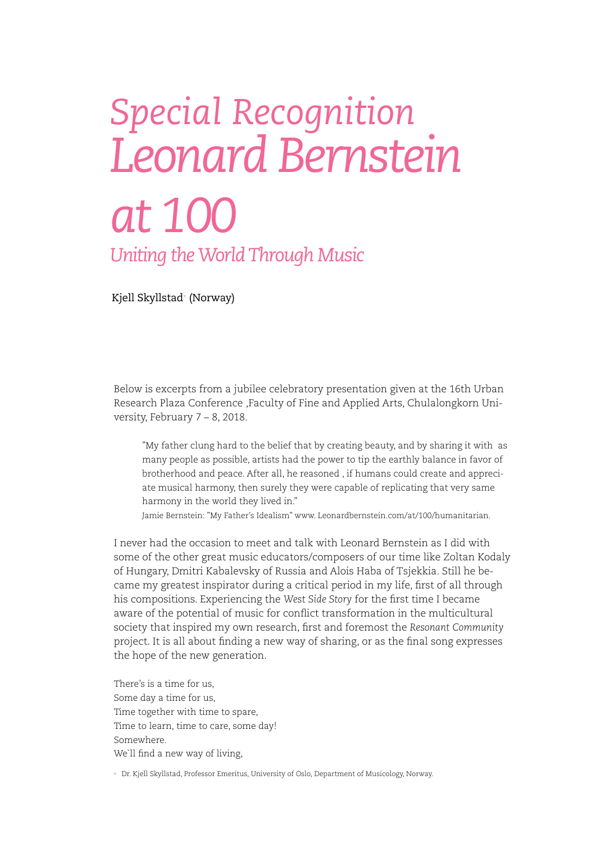## *Special Recognition Leonard Bernstein at 100 Uniting the World Through Music*

Kjell Skyllstad+ (Norway)

Below is excerpts from a jubilee celebratory presentation given at the 16th Urban Research Plaza Conference ,Faculty of Fine and Applied Arts, Chulalongkorn University, February 7 – 8, 2018.

"My father clung hard to the belief that by creating beauty, and by sharing it with as many people as possible, artists had the power to tip the earthly balance in favor of brotherhood and peace. After all, he reasoned , if humans could create and appreciate musical harmony, then surely they were capable of replicating that very same harmony in the world they lived in."

Jamie Bernstein: "My Father's Idealism" www. Leonardbernstein.com/at/100/humanitarian.

I never had the occasion to meet and talk with Leonard Bernstein as I did with some of the other great music educators/composers of our time like Zoltan Kodaly of Hungary, Dmitri Kabalevsky of Russia and Alois Haba of Tsjekkia. Still he became my greatest inspirator during a critical period in my life, first of all through his compositions. Experiencing the *West Side Story* for the first time I became aware of the potential of music for conflict transformation in the multicultural society that inspired my own research, first and foremost the *Resonant Community* project. It is all about finding a new way of sharing, or as the final song expresses the hope of the new generation.

There's is a time for us, Some day a time for us, Time together with time to spare, Time to learn, time to care, some day! Somewhere. We`ll find a new way of living,

+ Dr. Kjell Skyllstad, Professor Emeritus, University of Oslo, Department of Musicology, Norway.